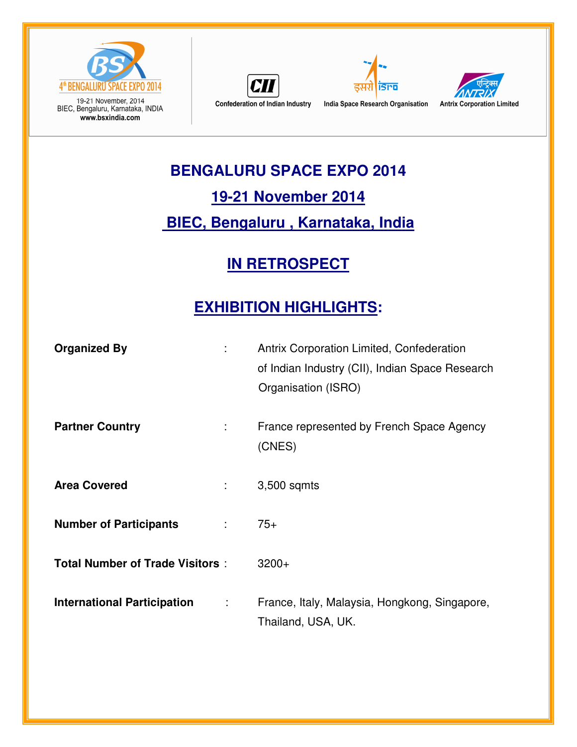

19-21 November, 2014<br>BIEC, Bengaluru, Karnataka, INDIA www.bsxindia.com







#### **BENGALURU SPACE EXPO 2014**

### **19-21 November 2014**

## **BIEC, Bengaluru , Karnataka, India**

## **IN RETROSPECT**

# **EXHIBITION HIGHLIGHTS:**

| <b>Organized By</b>                                        | Antrix Corporation Limited, Confederation<br>of Indian Industry (CII), Indian Space Research<br>Organisation (ISRO) |
|------------------------------------------------------------|---------------------------------------------------------------------------------------------------------------------|
| <b>Partner Country</b><br>÷                                | France represented by French Space Agency<br>(CNES)                                                                 |
| <b>Area Covered</b><br>$\mathbb{Z}^{\mathbb{Z}}$           | 3,500 sqmts                                                                                                         |
| <b>Number of Participants</b><br>$\mathbb{R}^{\mathbb{Z}}$ | $75+$                                                                                                               |
| <b>Total Number of Trade Visitors:</b>                     | $3200+$                                                                                                             |
| <b>International Participation</b><br>÷                    | France, Italy, Malaysia, Hongkong, Singapore,<br>Thailand, USA, UK.                                                 |